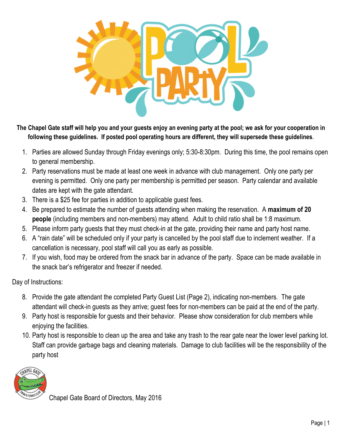

**The Chapel Gate staff will help you and your guests enjoy an evening party at the pool; we ask for your cooperation in following these guidelines. If posted pool operating hours are different, they will supersede these guidelines**.

- 1. Parties are allowed Sunday through Friday evenings only; 5:30-8:30pm. During this time, the pool remains open to general membership.
- 2. Party reservations must be made at least one week in advance with club management. Only one party per evening is permitted. Only one party per membership is permitted per season. Party calendar and available dates are kept with the gate attendant.
- 3. There is a \$25 fee for parties in addition to applicable guest fees.
- 4. Be prepared to estimate the number of guests attending when making the reservation. A **maximum of 20 people** (including members and non-members) may attend. Adult to child ratio shall be 1:8 maximum.
- 5. Please inform party guests that they must check-in at the gate, providing their name and party host name.
- 6. A "rain date" will be scheduled only if your party is cancelled by the pool staff due to inclement weather. If a cancellation is necessary, pool staff will call you as early as possible.
- 7. If you wish, food may be ordered from the snack bar in advance of the party. Space can be made available in the snack bar's refrigerator and freezer if needed.

Day of Instructions:

- 8. Provide the gate attendant the completed Party Guest List (Page 2), indicating non-members. The gate attendant will check-in guests as they arrive; guest fees for non-members can be paid at the end of the party.
- 9. Party host is responsible for guests and their behavior. Please show consideration for club members while enjoying the facilities.
- 10. Party host is responsible to clean up the area and take any trash to the rear gate near the lower level parking lot. Staff can provide garbage bags and cleaning materials. Damage to club facilities will be the responsibility of the party host